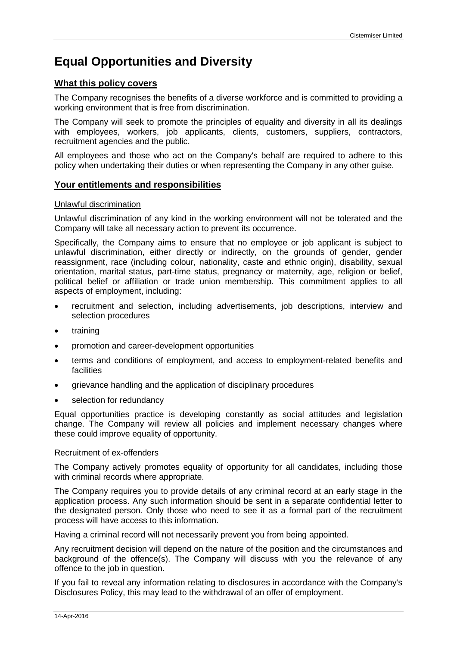# **Equal Opportunities and Diversity**

## **What this policy covers**

The Company recognises the benefits of a diverse workforce and is committed to providing a working environment that is free from discrimination.

The Company will seek to promote the principles of equality and diversity in all its dealings with employees, workers, job applicants, clients, customers, suppliers, contractors, recruitment agencies and the public.

All employees and those who act on the Company's behalf are required to adhere to this policy when undertaking their duties or when representing the Company in any other guise.

# **Your entitlements and responsibilities**

## Unlawful discrimination

Unlawful discrimination of any kind in the working environment will not be tolerated and the Company will take all necessary action to prevent its occurrence.

Specifically, the Company aims to ensure that no employee or job applicant is subject to unlawful discrimination, either directly or indirectly, on the grounds of gender, gender reassignment, race (including colour, nationality, caste and ethnic origin), disability, sexual orientation, marital status, part-time status, pregnancy or maternity, age, religion or belief, political belief or affiliation or trade union membership. This commitment applies to all aspects of employment, including:

- recruitment and selection, including advertisements, job descriptions, interview and selection procedures
- training
- promotion and career-development opportunities
- terms and conditions of employment, and access to employment-related benefits and facilities
- grievance handling and the application of disciplinary procedures
- selection for redundancy

Equal opportunities practice is developing constantly as social attitudes and legislation change. The Company will review all policies and implement necessary changes where these could improve equality of opportunity.

#### Recruitment of ex-offenders

The Company actively promotes equality of opportunity for all candidates, including those with criminal records where appropriate.

The Company requires you to provide details of any criminal record at an early stage in the application process. Any such information should be sent in a separate confidential letter to the designated person. Only those who need to see it as a formal part of the recruitment process will have access to this information.

Having a criminal record will not necessarily prevent you from being appointed.

Any recruitment decision will depend on the nature of the position and the circumstances and background of the offence(s). The Company will discuss with you the relevance of any offence to the job in question.

If you fail to reveal any information relating to disclosures in accordance with the Company's Disclosures Policy, this may lead to the withdrawal of an offer of employment.